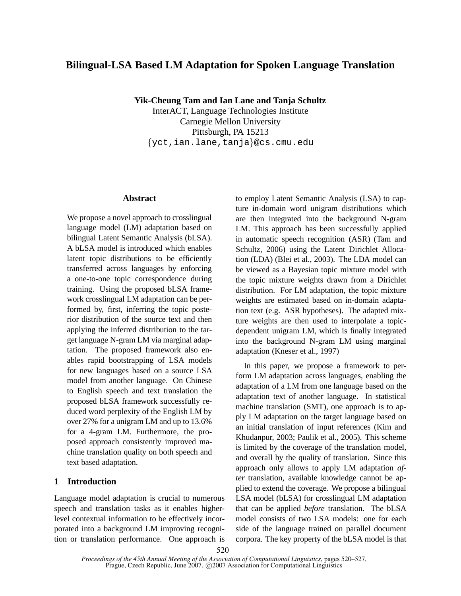# **Bilingual-LSA Based LM Adaptation for Spoken Language Translation**

**Yik-Cheung Tam and Ian Lane and Tanja Schultz**

InterACT, Language Technologies Institute Carnegie Mellon University Pittsburgh, PA 15213 {yct,ian.lane,tanja}@cs.cmu.edu

# **Abstract**

We propose a novel approach to crosslingual language model (LM) adaptation based on bilingual Latent Semantic Analysis (bLSA). A bLSA model is introduced which enables latent topic distributions to be efficiently transferred across languages by enforcing a one-to-one topic correspondence during training. Using the proposed bLSA framework crosslingual LM adaptation can be performed by, first, inferring the topic posterior distribution of the source text and then applying the inferred distribution to the target language N-gram LM via marginal adaptation. The proposed framework also enables rapid bootstrapping of LSA models for new languages based on a source LSA model from another language. On Chinese to English speech and text translation the proposed bLSA framework successfully reduced word perplexity of the English LM by over 27% for a unigram LM and up to 13.6% for a 4-gram LM. Furthermore, the proposed approach consistently improved machine translation quality on both speech and text based adaptation.

# **1 Introduction**

Language model adaptation is crucial to numerous speech and translation tasks as it enables higherlevel contextual information to be effectively incorporated into a background LM improving recognition or translation performance. One approach is to employ Latent Semantic Analysis (LSA) to capture in-domain word unigram distributions which are then integrated into the background N-gram LM. This approach has been successfully applied in automatic speech recognition (ASR) (Tam and Schultz, 2006) using the Latent Dirichlet Allocation (LDA) (Blei et al., 2003). The LDA model can be viewed as a Bayesian topic mixture model with the topic mixture weights drawn from a Dirichlet distribution. For LM adaptation, the topic mixture weights are estimated based on in-domain adaptation text (e.g. ASR hypotheses). The adapted mixture weights are then used to interpolate a topicdependent unigram LM, which is finally integrated into the background N-gram LM using marginal adaptation (Kneser et al., 1997)

In this paper, we propose a framework to perform LM adaptation across languages, enabling the adaptation of a LM from one language based on the adaptation text of another language. In statistical machine translation (SMT), one approach is to apply LM adaptation on the target language based on an initial translation of input references (Kim and Khudanpur, 2003; Paulik et al., 2005). This scheme is limited by the coverage of the translation model, and overall by the quality of translation. Since this approach only allows to apply LM adaptation *after* translation, available knowledge cannot be applied to extend the coverage. We propose a bilingual LSA model (bLSA) for crosslingual LM adaptation that can be applied *before* translation. The bLSA model consists of two LSA models: one for each side of the language trained on parallel document corpora. The key property of the bLSA model is that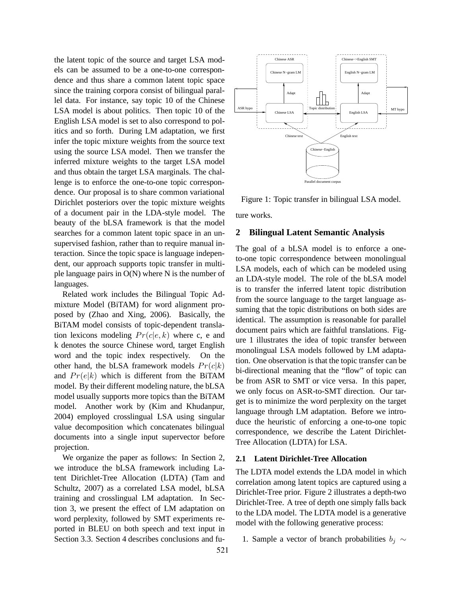the latent topic of the source and target LSA models can be assumed to be a one-to-one correspondence and thus share a common latent topic space since the training corpora consist of bilingual parallel data. For instance, say topic 10 of the Chinese LSA model is about politics. Then topic 10 of the English LSA model is set to also correspond to politics and so forth. During LM adaptation, we first infer the topic mixture weights from the source text using the source LSA model. Then we transfer the inferred mixture weights to the target LSA model and thus obtain the target LSA marginals. The challenge is to enforce the one-to-one topic correspondence. Our proposal is to share common variational Dirichlet posteriors over the topic mixture weights of a document pair in the LDA-style model. The beauty of the bLSA framework is that the model searches for a common latent topic space in an unsupervised fashion, rather than to require manual interaction. Since the topic space is language independent, our approach supports topic transfer in multiple language pairs in  $O(N)$  where N is the number of languages.

Related work includes the Bilingual Topic Admixture Model (BiTAM) for word alignment proposed by (Zhao and Xing, 2006). Basically, the BiTAM model consists of topic-dependent translation lexicons modeling  $Pr(c|e, k)$  where c, e and k denotes the source Chinese word, target English word and the topic index respectively. On the other hand, the bLSA framework models  $Pr(c|k)$ and  $Pr(e|k)$  which is different from the BiTAM model. By their different modeling nature, the bLSA model usually supports more topics than the BiTAM model. Another work by (Kim and Khudanpur, 2004) employed crosslingual LSA using singular value decomposition which concatenates bilingual documents into a single input supervector before projection.

We organize the paper as follows: In Section 2, we introduce the bLSA framework including Latent Dirichlet-Tree Allocation (LDTA) (Tam and Schultz, 2007) as a correlated LSA model, bLSA training and crosslingual LM adaptation. In Section 3, we present the effect of LM adaptation on word perplexity, followed by SMT experiments reported in BLEU on both speech and text input in Section 3.3. Section 4 describes conclusions and fu-



Figure 1: Topic transfer in bilingual LSA model. ture works.

# **2 Bilingual Latent Semantic Analysis**

The goal of a bLSA model is to enforce a oneto-one topic correspondence between monolingual LSA models, each of which can be modeled using an LDA-style model. The role of the bLSA model is to transfer the inferred latent topic distribution from the source language to the target language assuming that the topic distributions on both sides are identical. The assumption is reasonable for parallel document pairs which are faithful translations. Figure 1 illustrates the idea of topic transfer between monolingual LSA models followed by LM adaptation. One observation is that the topic transfer can be bi-directional meaning that the "flow" of topic can be from ASR to SMT or vice versa. In this paper, we only focus on ASR-to-SMT direction. Our target is to minimize the word perplexity on the target language through LM adaptation. Before we introduce the heuristic of enforcing a one-to-one topic correspondence, we describe the Latent Dirichlet-Tree Allocation (LDTA) for LSA.

### **2.1 Latent Dirichlet-Tree Allocation**

The LDTA model extends the LDA model in which correlation among latent topics are captured using a Dirichlet-Tree prior. Figure 2 illustrates a depth-two Dirichlet-Tree. A tree of depth one simply falls back to the LDA model. The LDTA model is a generative model with the following generative process:

1. Sample a vector of branch probabilities  $b_i \sim$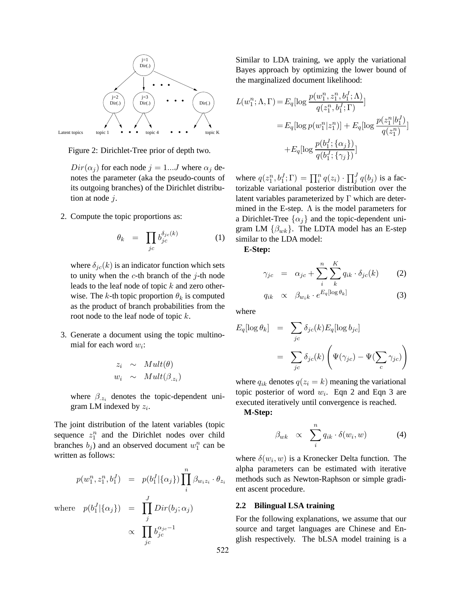

Figure 2: Dirichlet-Tree prior of depth two.

 $Dir(\alpha_i)$  for each node  $j = 1...J$  where  $\alpha_j$  denotes the parameter (aka the pseudo-counts of its outgoing branches) of the Dirichlet distribution at node  $i$ .

2. Compute the topic proportions as:

$$
\theta_k = \prod_{jc} b_{jc}^{\delta_{jc}(k)} \tag{1}
$$

where  $\delta_{ic}(k)$  is an indicator function which sets to unity when the  $c$ -th branch of the  $j$ -th node leads to the leaf node of topic  $k$  and zero otherwise. The k-th topic proportion  $\theta_k$  is computed as the product of branch probabilities from the root node to the leaf node of topic  $k$ .

3. Generate a document using the topic multinomial for each word  $w_i$ :

$$
z_i \sim Mult(\theta)
$$
  

$$
w_i \sim Mult(\beta_{.z_i})
$$

where  $\beta_{z_i}$  denotes the topic-dependent unigram LM indexed by  $z_i$ .

The joint distribution of the latent variables (topic sequence  $z_1^n$  and the Dirichlet nodes over child branches  $b_j$ ) and an observed document  $w_1^n$  can be written as follows:

$$
p(w_1^n, z_1^n, b_1^J) = p(b_1^J | {\alpha_j}) \prod_i^n \beta_{w_i z_i} \cdot \theta_{z_i}
$$
  
where 
$$
p(b_1^J | {\alpha_j}) = \prod_j^J Dir(b_j; \alpha_j)
$$

$$
\propto \prod_{j_c} b_{jc}^{\alpha_{jc} - 1}
$$

Similar to LDA training, we apply the variational Bayes approach by optimizing the lower bound of the marginalized document likelihood:

$$
L(w_1^n; \Lambda, \Gamma) = E_q[ \log \frac{p(w_1^n, z_1^n, b_1^I; \Lambda)}{q(z_1^n, b_1^I; \Gamma)}]
$$
  
=  $E_q[ \log p(w_1^n | z_1^n)] + E_q[ \log \frac{p(z_1^n | b_1^J)}{q(z_1^n)}]$   
+ $E_q[ \log \frac{p(b_1^I; {\alpha_j})}{q(b_1^I; {\gamma_j})}]$ 

where  $q(z_1^n, b_1^J; \Gamma) = \prod_i^n q(z_i) \cdot \prod_j^J q(b_j)$  is a factorizable variational posterior distribution over the latent variables parameterized by  $\Gamma$  which are determined in the E-step.  $\Lambda$  is the model parameters for a Dirichlet-Tree  $\{\alpha_i\}$  and the topic-dependent unigram LM  $\{\beta_{wk}\}.$  The LDTA model has an E-step similar to the LDA model:

**E-Step:**

$$
\gamma_{jc} = \alpha_{jc} + \sum_{i}^{n} \sum_{k}^{K} q_{ik} \cdot \delta_{jc}(k) \qquad (2)
$$

$$
q_{ik} \propto \beta_{w_i k} \cdot e^{E_q[\log \theta_k]} \tag{3}
$$

where

$$
E_q[\log \theta_k] = \sum_{jc} \delta_{jc}(k) E_q[\log b_{jc}]
$$
  
= 
$$
\sum_{jc} \delta_{jc}(k) \left( \Psi(\gamma_{jc}) - \Psi(\sum_c \gamma_{jc}) \right)
$$

where  $q_{ik}$  denotes  $q(z_i = k)$  meaning the variational topic posterior of word  $w_i$ . Eqn 2 and Eqn 3 are executed iteratively until convergence is reached.

**M-Step:**

$$
\beta_{wk} \propto \sum_{i}^{n} q_{ik} \cdot \delta(w_i, w) \tag{4}
$$

where  $\delta(w_i, w)$  is a Kronecker Delta function. The alpha parameters can be estimated with iterative methods such as Newton-Raphson or simple gradient ascent procedure.

### **2.2 Bilingual LSA training**

For the following explanations, we assume that our source and target languages are Chinese and English respectively. The bLSA model training is a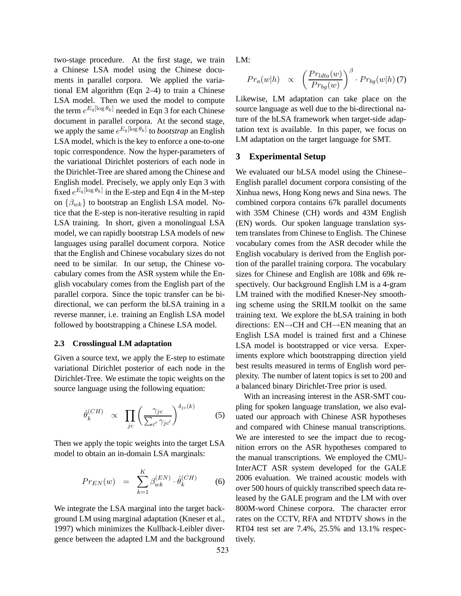two-stage procedure. At the first stage, we train a Chinese LSA model using the Chinese documents in parallel corpora. We applied the variational EM algorithm (Eqn 2–4) to train a Chinese LSA model. Then we used the model to compute the term  $e^{E_q[\log \theta_k]}$  needed in Eqn 3 for each Chinese document in parallel corpora. At the second stage, we apply the same  $e^{E_q[\log \theta_k]}$  to *bootstrap* an English LSA model, which is the key to enforce a one-to-one topic correspondence. Now the hyper-parameters of the variational Dirichlet posteriors of each node in the Dirichlet-Tree are shared among the Chinese and English model. Precisely, we apply only Eqn 3 with fixed  $e^{E_q[\log \theta_k]}$  in the E-step and Eqn 4 in the M-step on  $\{\beta_{wk}\}\$ to bootstrap an English LSA model. Notice that the E-step is non-iterative resulting in rapid LSA training. In short, given a monolingual LSA model, we can rapidly bootstrap LSA models of new languages using parallel document corpora. Notice that the English and Chinese vocabulary sizes do not need to be similar. In our setup, the Chinese vocabulary comes from the ASR system while the English vocabulary comes from the English part of the parallel corpora. Since the topic transfer can be bidirectional, we can perform the bLSA training in a reverse manner, i.e. training an English LSA model followed by bootstrapping a Chinese LSA model.

#### **2.3 Crosslingual LM adaptation**

Given a source text, we apply the E-step to estimate variational Dirichlet posterior of each node in the Dirichlet-Tree. We estimate the topic weights on the source language using the following equation:

$$
\hat{\theta}_k^{(CH)} \propto \prod_{jc} \left(\frac{\gamma_{jc}}{\sum_{c'} \gamma_{jc'}}\right)^{\delta_{jc}(k)} \tag{5}
$$

Then we apply the topic weights into the target LSA model to obtain an in-domain LSA marginals:

$$
Pr_{EN}(w) = \sum_{k=1}^{K} \beta_{wk}^{(EN)} \cdot \hat{\theta}_k^{(CH)}
$$
 (6)

We integrate the LSA marginal into the target background LM using marginal adaptation (Kneser et al., 1997) which minimizes the Kullback-Leibler divergence between the adapted LM and the background LM:

$$
Pr_a(w|h) \propto \left(\frac{Pr_{data}(w)}{Pr_{bg}(w)}\right)^{\beta} \cdot Pr_{bg}(w|h)
$$
 (7)

Likewise, LM adaptation can take place on the source language as well due to the bi-directional nature of the bLSA framework when target-side adaptation text is available. In this paper, we focus on LM adaptation on the target language for SMT.

# **3 Experimental Setup**

We evaluated our bLSA model using the Chinese– English parallel document corpora consisting of the Xinhua news, Hong Kong news and Sina news. The combined corpora contains 67k parallel documents with 35M Chinese (CH) words and 43M English (EN) words. Our spoken language translation system translates from Chinese to English. The Chinese vocabulary comes from the ASR decoder while the English vocabulary is derived from the English portion of the parallel training corpora. The vocabulary sizes for Chinese and English are 108k and 69k respectively. Our background English LM is a 4-gram LM trained with the modified Kneser-Ney smoothing scheme using the SRILM toolkit on the same training text. We explore the bLSA training in both directions: EN→CH and CH→EN meaning that an English LSA model is trained first and a Chinese LSA model is bootstrapped or vice versa. Experiments explore which bootstrapping direction yield best results measured in terms of English word perplexity. The number of latent topics is set to 200 and a balanced binary Dirichlet-Tree prior is used.

With an increasing interest in the ASR-SMT coupling for spoken language translation, we also evaluated our approach with Chinese ASR hypotheses and compared with Chinese manual transcriptions. We are interested to see the impact due to recognition errors on the ASR hypotheses compared to the manual transcriptions. We employed the CMU-InterACT ASR system developed for the GALE 2006 evaluation. We trained acoustic models with over 500 hours of quickly transcribed speech data released by the GALE program and the LM with over 800M-word Chinese corpora. The character error rates on the CCTV, RFA and NTDTV shows in the RT04 test set are 7.4%, 25.5% and 13.1% respectively.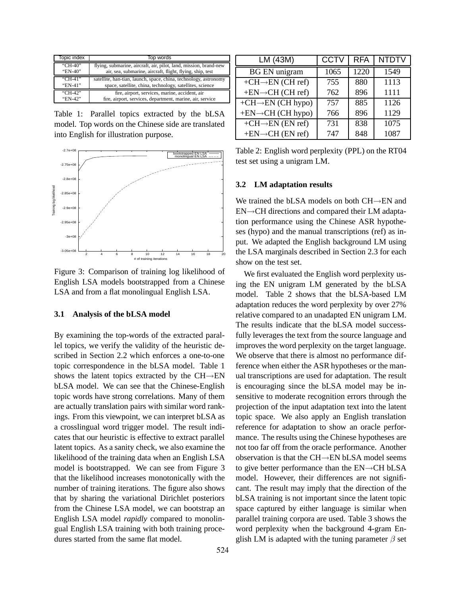| Topic index | Top words                                                         |  |  |
|-------------|-------------------------------------------------------------------|--|--|
| "CH-40"     | flying, submarine, aircraft, air, pilot, land, mission, brand-new |  |  |
| "EN-40"     | air, sea, submarine, aircraft, flight, flying, ship, test         |  |  |
| "CH-41"     | satellite, han-tian, launch, space, china, technology, astronomy  |  |  |
| "EN-41"     | space, satellite, china, technology, satellites, science          |  |  |
| "CH-42"     | fire, airport, services, marine, accident, air                    |  |  |
| "EN-42"     | fire, airport, services, department, marine, air, service         |  |  |

Table 1: Parallel topics extracted by the bLSA model. Top words on the Chinese side are translated into English for illustration purpose.



Figure 3: Comparison of training log likelihood of English LSA models bootstrapped from a Chinese LSA and from a flat monolingual English LSA.

### **3.1 Analysis of the bLSA model**

By examining the top-words of the extracted parallel topics, we verify the validity of the heuristic described in Section 2.2 which enforces a one-to-one topic correspondence in the bLSA model. Table 1 shows the latent topics extracted by the CH→EN bLSA model. We can see that the Chinese-English topic words have strong correlations. Many of them are actually translation pairs with similar word rankings. From this viewpoint, we can interpret bLSA as a crosslingual word trigger model. The result indicates that our heuristic is effective to extract parallel latent topics. As a sanity check, we also examine the likelihood of the training data when an English LSA model is bootstrapped. We can see from Figure 3 that the likelihood increases monotonically with the number of training iterations. The figure also shows that by sharing the variational Dirichlet posteriors from the Chinese LSA model, we can bootstrap an English LSA model *rapidly* compared to monolingual English LSA training with both training procedures started from the same flat model.

| LM (43M)                       | <b>CCTV</b> | <b>RFA</b> | <b>NTDTV</b> |
|--------------------------------|-------------|------------|--------------|
| <b>BG EN unigram</b>           | 1065        | 1220       | 1549         |
| $+CH \rightarrow EN$ (CH ref)  | 755         | 880        | 1113         |
| $+EN\rightarrow CH$ (CH ref)   | 762         | 896        | 1111         |
| $+CH \rightarrow EN$ (CH hypo) | 757         | 885        | 1126         |
| $+EN \rightarrow CH$ (CH hypo) | 766         | 896        | 1129         |
| $+CH \rightarrow EN$ (EN ref)  | 731         | 838        | 1075         |
| $+EN\rightarrow CH$ (EN ref)   | 747         | 848        | 1087         |

Table 2: English word perplexity (PPL) on the RT04 test set using a unigram LM.

#### **3.2 LM adaptation results**

We trained the bLSA models on both CH→EN and EN→CH directions and compared their LM adaptation performance using the Chinese ASR hypotheses (hypo) and the manual transcriptions (ref) as input. We adapted the English background LM using the LSA marginals described in Section 2.3 for each show on the test set.

We first evaluated the English word perplexity using the EN unigram LM generated by the bLSA model. Table 2 shows that the bLSA-based LM adaptation reduces the word perplexity by over 27% relative compared to an unadapted EN unigram LM. The results indicate that the bLSA model successfully leverages the text from the source language and improves the word perplexity on the target language. We observe that there is almost no performance difference when either the ASR hypotheses or the manual transcriptions are used for adaptation. The result is encouraging since the bLSA model may be insensitive to moderate recognition errors through the projection of the input adaptation text into the latent topic space. We also apply an English translation reference for adaptation to show an oracle performance. The results using the Chinese hypotheses are not too far off from the oracle performance. Another observation is that the CH→EN bLSA model seems to give better performance than the EN→CH bLSA model. However, their differences are not significant. The result may imply that the direction of the bLSA training is not important since the latent topic space captured by either language is similar when parallel training corpora are used. Table 3 shows the word perplexity when the background 4-gram English LM is adapted with the tuning parameter  $\beta$  set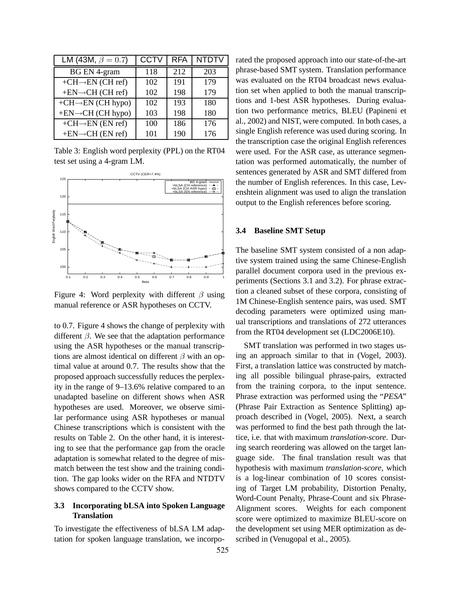| LM (43M, $\beta = 0.7$ )       | <b>CCTV</b> | <b>RFA</b> | <b>NTDTV</b> |
|--------------------------------|-------------|------------|--------------|
| <b>BG EN 4-gram</b>            | 118         | 212        | 203          |
| $+CH \rightarrow EN$ (CH ref)  | 102         | 191        | 179          |
| $+EN\rightarrow CH$ (CH ref)   | 102         | 198        | 179          |
| $+CH \rightarrow EN (CH hypo)$ | 102         | 193        | 180          |
| $+EN \rightarrow CH (CH hypo)$ | 103         | 198        | 180          |
| $+CH \rightarrow EN$ (EN ref)  | 100         | 186        | 176          |
| $+EN\rightarrow CH$ (EN ref)   | 101         | 190        | 176          |

Table 3: English word perplexity (PPL) on the RT04 test set using a 4-gram LM.



Figure 4: Word perplexity with different  $\beta$  using manual reference or ASR hypotheses on CCTV.

to 0.7. Figure 4 shows the change of perplexity with different  $\beta$ . We see that the adaptation performance using the ASR hypotheses or the manual transcriptions are almost identical on different  $\beta$  with an optimal value at around 0.7. The results show that the proposed approach successfully reduces the perplexity in the range of 9–13.6% relative compared to an unadapted baseline on different shows when ASR hypotheses are used. Moreover, we observe similar performance using ASR hypotheses or manual Chinese transcriptions which is consistent with the results on Table 2. On the other hand, it is interesting to see that the performance gap from the oracle adaptation is somewhat related to the degree of mismatch between the test show and the training condition. The gap looks wider on the RFA and NTDTV shows compared to the CCTV show.

# **3.3 Incorporating bLSA into Spoken Language Translation**

To investigate the effectiveness of bLSA LM adaptation for spoken language translation, we incorporated the proposed approach into our state-of-the-art phrase-based SMT system. Translation performance was evaluated on the RT04 broadcast news evaluation set when applied to both the manual transcriptions and 1-best ASR hypotheses. During evaluation two performance metrics, BLEU (Papineni et al., 2002) and NIST, were computed. In both cases, a single English reference was used during scoring. In the transcription case the original English references were used. For the ASR case, as utterance segmentation was performed automatically, the number of sentences generated by ASR and SMT differed from the number of English references. In this case, Levenshtein alignment was used to align the translation output to the English references before scoring.

#### **3.4 Baseline SMT Setup**

The baseline SMT system consisted of a non adaptive system trained using the same Chinese-English parallel document corpora used in the previous experiments (Sections 3.1 and 3.2). For phrase extraction a cleaned subset of these corpora, consisting of 1M Chinese-English sentence pairs, was used. SMT decoding parameters were optimized using manual transcriptions and translations of 272 utterances from the RT04 development set (LDC2006E10).

SMT translation was performed in two stages using an approach similar to that in (Vogel, 2003). First, a translation lattice was constructed by matching all possible bilingual phrase-pairs, extracted from the training corpora, to the input sentence. Phrase extraction was performed using the "*PESA*" (Phrase Pair Extraction as Sentence Splitting) approach described in (Vogel, 2005). Next, a search was performed to find the best path through the lattice, i.e. that with maximum *translation-score*. During search reordering was allowed on the target language side. The final translation result was that hypothesis with maximum *translation-score*, which is a log-linear combination of 10 scores consisting of Target LM probability, Distortion Penalty, Word-Count Penalty, Phrase-Count and six Phrase-Alignment scores. Weights for each component score were optimized to maximize BLEU-score on the development set using MER optimization as described in (Venugopal et al., 2005).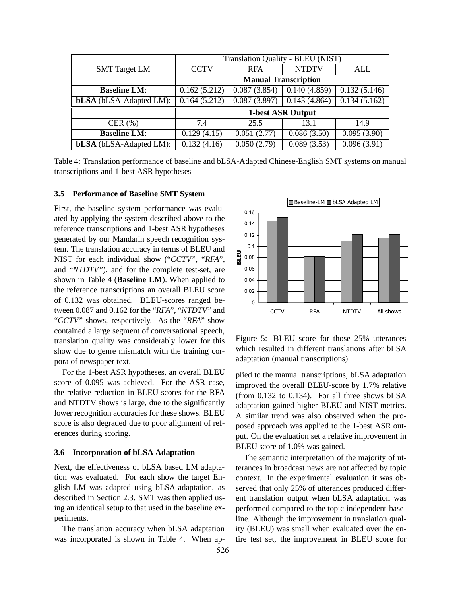|                                | Translation Quality - BLEU (NIST) |              |              |              |  |
|--------------------------------|-----------------------------------|--------------|--------------|--------------|--|
| <b>SMT</b> Target LM           | <b>CCTV</b>                       | <b>RFA</b>   | <b>NTDTV</b> | ALL          |  |
|                                | <b>Manual Transcription</b>       |              |              |              |  |
| <b>Baseline LM:</b>            | 0.162(5.212)                      | 0.087(3.854) | 0.140(4.859) | 0.132(5.146) |  |
| <b>bLSA</b> (bLSA-Adapted LM): | 0.164(5.212)                      | 0.087(3.897) | 0.143(4.864) | 0.134(5.162) |  |
|                                | 1-best ASR Output                 |              |              |              |  |
| CER $(\% )$                    | 7.4                               | 25.5         | 13.1         | 14.9         |  |
| <b>Baseline LM:</b>            | 0.129(4.15)                       | 0.051(2.77)  | 0.086(3.50)  | 0.095(3.90)  |  |
| <b>bLSA</b> (bLSA-Adapted LM): | 0.132(4.16)                       | 0.050(2.79)  | 0.089(3.53)  | 0.096(3.91)  |  |

Table 4: Translation performance of baseline and bLSA-Adapted Chinese-English SMT systems on manual transcriptions and 1-best ASR hypotheses

### **3.5 Performance of Baseline SMT System**

First, the baseline system performance was evaluated by applying the system described above to the reference transcriptions and 1-best ASR hypotheses generated by our Mandarin speech recognition system. The translation accuracy in terms of BLEU and NIST for each individual show ("*CCTV*", "*RFA*", and "*NTDTV*"), and for the complete test-set, are shown in Table 4 (**Baseline LM**). When applied to the reference transcriptions an overall BLEU score of 0.132 was obtained. BLEU-scores ranged between 0.087 and 0.162 for the "*RFA*", "*NTDTV*" and "*CCTV*" shows, respectively. As the "*RFA*" show contained a large segment of conversational speech, translation quality was considerably lower for this show due to genre mismatch with the training corpora of newspaper text.

For the 1-best ASR hypotheses, an overall BLEU score of 0.095 was achieved. For the ASR case, the relative reduction in BLEU scores for the RFA and NTDTV shows is large, due to the significantly lower recognition accuracies for these shows. BLEU score is also degraded due to poor alignment of references during scoring.

#### **3.6 Incorporation of bLSA Adaptation**

Next, the effectiveness of bLSA based LM adaptation was evaluated. For each show the target English LM was adapted using bLSA-adaptation, as described in Section 2.3. SMT was then applied using an identical setup to that used in the baseline experiments.

The translation accuracy when bLSA adaptation was incorporated is shown in Table 4. When ap-



Figure 5: BLEU score for those 25% utterances which resulted in different translations after bLSA adaptation (manual transcriptions)

plied to the manual transcriptions, bLSA adaptation improved the overall BLEU-score by 1.7% relative (from 0.132 to 0.134). For all three shows bLSA adaptation gained higher BLEU and NIST metrics. A similar trend was also observed when the proposed approach was applied to the 1-best ASR output. On the evaluation set a relative improvement in BLEU score of 1.0% was gained.

The semantic interpretation of the majority of utterances in broadcast news are not affected by topic context. In the experimental evaluation it was observed that only 25% of utterances produced different translation output when bLSA adaptation was performed compared to the topic-independent baseline. Although the improvement in translation quality (BLEU) was small when evaluated over the entire test set, the improvement in BLEU score for